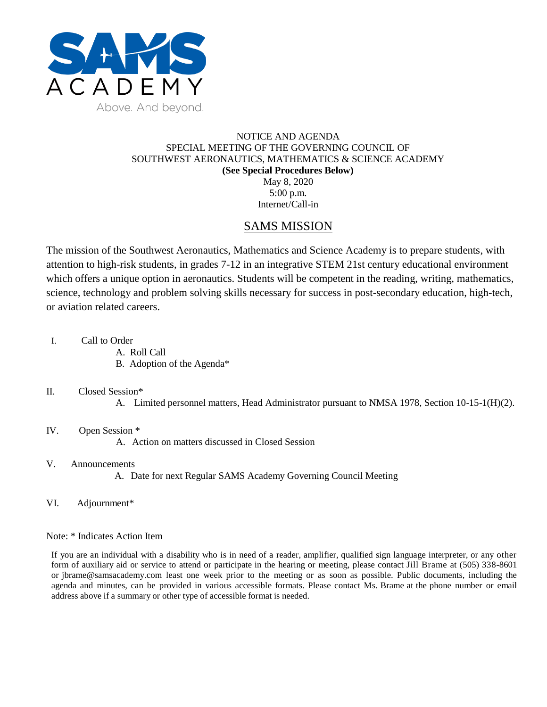

## NOTICE AND AGENDA SPECIAL MEETING OF THE GOVERNING COUNCIL OF SOUTHWEST AERONAUTICS, MATHEMATICS & SCIENCE ACADEMY **(See Special Procedures Below)** May 8, 2020 5:00 p.m. Internet/Call-in

# SAMS MISSION

The mission of the Southwest Aeronautics, Mathematics and Science Academy is to prepare students, with attention to high-risk students, in grades 7-12 in an integrative STEM 21st century educational environment which offers a unique option in aeronautics. Students will be competent in the reading, writing, mathematics, science, technology and problem solving skills necessary for success in post-secondary education, high-tech, or aviation related careers.

- I. Call to Order
	- A. Roll Call
	- B. Adoption of the Agenda\*

#### II. Closed Session\*

A. Limited personnel matters, Head Administrator pursuant to NMSA 1978, Section 10-15-1(H)(2).

## IV. Open Session \*

A. Action on matters discussed in Closed Session

## V. Announcements

- A. Date for next Regular SAMS Academy Governing Council Meeting
- VI. Adjournment\*

#### Note: \* Indicates Action Item

If you are an individual with a disability who is in need of a reader, amplifier, qualified sign language interpreter, or any other form of auxiliary aid or service to attend or participate in the hearing or meeting, please contact Jill Brame at (505) 338-8601 or jbrame@samsacademy.com least one week prior to the meeting or as soon as possible. Public documents, including the agenda and minutes, can be provided in various accessible formats. Please contact Ms. Brame at the phone number or email address above if a summary or other type of accessible format is needed.